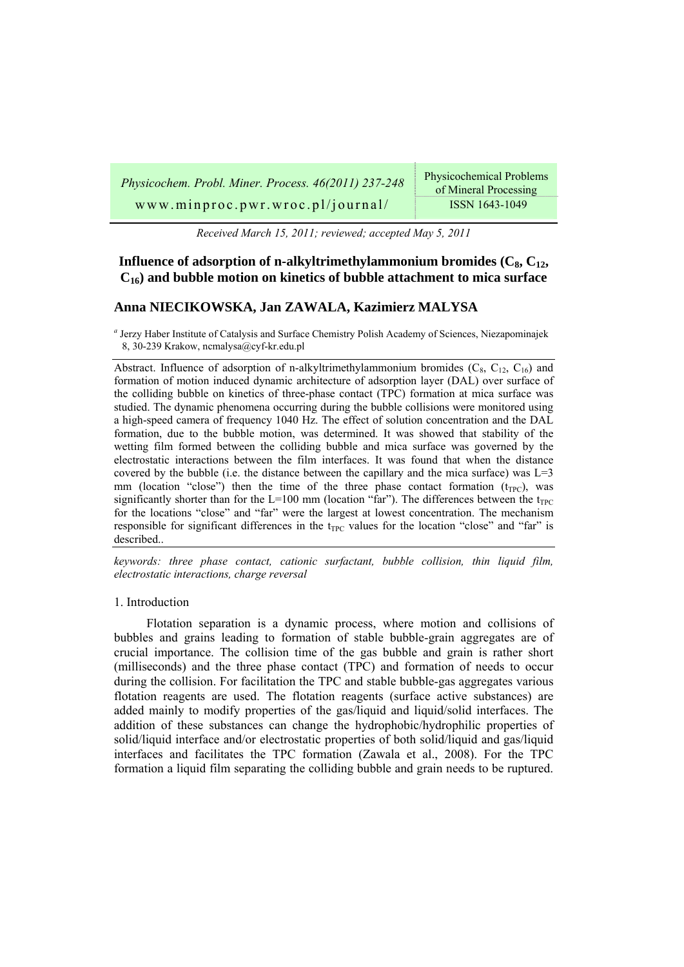| Physicochem. Probl. Miner. Process. 46(2011) 237-248 | <b>Physicochemical Problems</b><br>of Mineral Processing |
|------------------------------------------------------|----------------------------------------------------------|
| www.minproc.pwr.wroc.pl/journal/                     | ISSN 1643-1049                                           |

*Received March 15, 2011; reviewed; accepted May 5, 2011* 

# **Influence of adsorption of n-alkyltrimethylammonium bromides**  $(C_8, C_{12},$ **C16) and bubble motion on kinetics of bubble attachment to mica surface**

# **Anna NIECIKOWSKA, Jan ZAWALA, Kazimierz MALYSA**

*a* Jerzy Haber Institute of Catalysis and Surface Chemistry Polish Academy of Sciences, Niezapominajek 8, 30-239 Krakow, ncmalysa@cyf-kr.edu.pl

Abstract. Influence of adsorption of n-alkyltrimethylammonium bromides  $(C_8, C_{12}, C_{16})$  and formation of motion induced dynamic architecture of adsorption layer (DAL) over surface of the colliding bubble on kinetics of three-phase contact (TPC) formation at mica surface was studied. The dynamic phenomena occurring during the bubble collisions were monitored using a high-speed camera of frequency 1040 Hz. The effect of solution concentration and the DAL formation, due to the bubble motion, was determined. It was showed that stability of the wetting film formed between the colliding bubble and mica surface was governed by the electrostatic interactions between the film interfaces. It was found that when the distance covered by the bubble (i.e. the distance between the capillary and the mica surface) was  $L=3$ mm (location "close") then the time of the three phase contact formation  $(t_{TPC})$ , was significantly shorter than for the L=100 mm (location "far"). The differences between the  $t_{TPC}$ for the locations "close" and "far" were the largest at lowest concentration. The mechanism responsible for significant differences in the  $t_{TPC}$  values for the location "close" and "far" is described..

*keywords: three phase contact, cationic surfactant, bubble collision, thin liquid film, electrostatic interactions, charge reversal* 

### 1. Introduction

Flotation separation is a dynamic process, where motion and collisions of bubbles and grains leading to formation of stable bubble-grain aggregates are of crucial importance. The collision time of the gas bubble and grain is rather short (milliseconds) and the three phase contact (TPC) and formation of needs to occur during the collision. For facilitation the TPC and stable bubble-gas aggregates various flotation reagents are used. The flotation reagents (surface active substances) are added mainly to modify properties of the gas/liquid and liquid/solid interfaces. The addition of these substances can change the hydrophobic/hydrophilic properties of solid/liquid interface and/or electrostatic properties of both solid/liquid and gas/liquid interfaces and facilitates the TPC formation (Zawala et al., 2008). For the TPC formation a liquid film separating the colliding bubble and grain needs to be ruptured.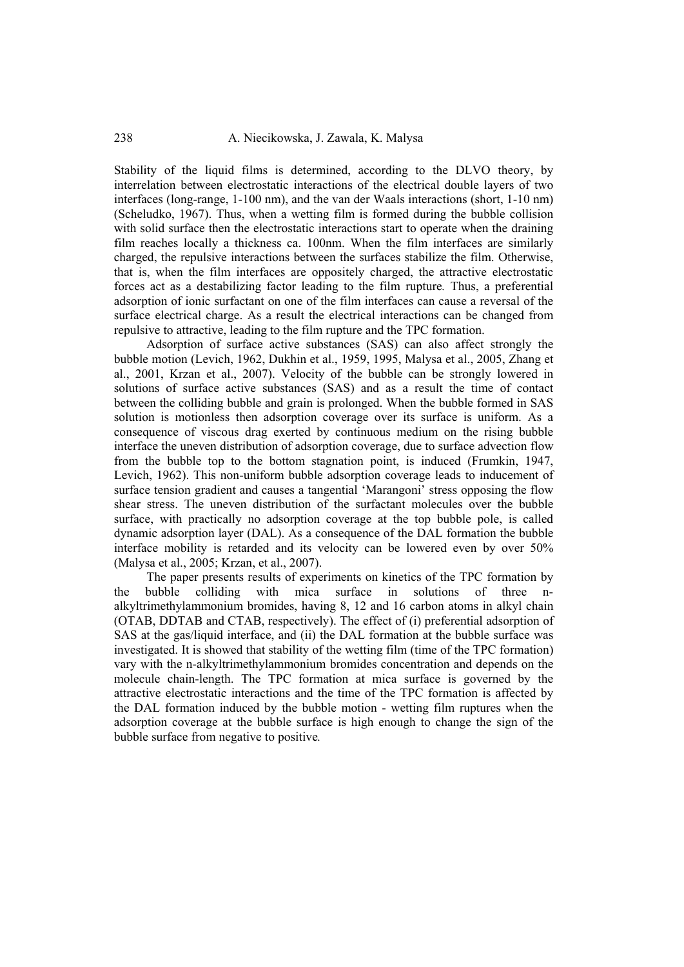Stability of the liquid films is determined, according to the DLVO theory, by interrelation between electrostatic interactions of the electrical double layers of two interfaces (long-range, 1-100 nm), and the van der Waals interactions (short, 1-10 nm) (Scheludko, 1967). Thus, when a wetting film is formed during the bubble collision with solid surface then the electrostatic interactions start to operate when the draining film reaches locally a thickness ca. 100nm. When the film interfaces are similarly charged, the repulsive interactions between the surfaces stabilize the film. Otherwise, that is, when the film interfaces are oppositely charged, the attractive electrostatic forces act as a destabilizing factor leading to the film rupture*.* Thus, a preferential adsorption of ionic surfactant on one of the film interfaces can cause a reversal of the surface electrical charge. As a result the electrical interactions can be changed from repulsive to attractive, leading to the film rupture and the TPC formation.

Adsorption of surface active substances (SAS) can also affect strongly the bubble motion (Levich, 1962, Dukhin et al., 1959, 1995, Malysa et al., 2005, Zhang et al., 2001, Krzan et al., 2007). Velocity of the bubble can be strongly lowered in solutions of surface active substances (SAS) and as a result the time of contact between the colliding bubble and grain is prolonged. When the bubble formed in SAS solution is motionless then adsorption coverage over its surface is uniform. As a consequence of viscous drag exerted by continuous medium on the rising bubble interface the uneven distribution of adsorption coverage, due to surface advection flow from the bubble top to the bottom stagnation point, is induced (Frumkin, 1947, Levich, 1962). This non-uniform bubble adsorption coverage leads to inducement of surface tension gradient and causes a tangential 'Marangoni' stress opposing the flow shear stress. The uneven distribution of the surfactant molecules over the bubble surface, with practically no adsorption coverage at the top bubble pole, is called dynamic adsorption layer (DAL). As a consequence of the DAL formation the bubble interface mobility is retarded and its velocity can be lowered even by over 50% (Malysa et al., 2005; Krzan, et al., 2007).

The paper presents results of experiments on kinetics of the TPC formation by the bubble colliding with mica surface in solutions of three nalkyltrimethylammonium bromides, having 8, 12 and 16 carbon atoms in alkyl chain (OTAB, DDTAB and CTAB, respectively). The effect of (i) preferential adsorption of SAS at the gas/liquid interface, and (ii) the DAL formation at the bubble surface was investigated. It is showed that stability of the wetting film (time of the TPC formation) vary with the n-alkyltrimethylammonium bromides concentration and depends on the molecule chain-length. The TPC formation at mica surface is governed by the attractive electrostatic interactions and the time of the TPC formation is affected by the DAL formation induced by the bubble motion - wetting film ruptures when the adsorption coverage at the bubble surface is high enough to change the sign of the bubble surface from negative to positive*.*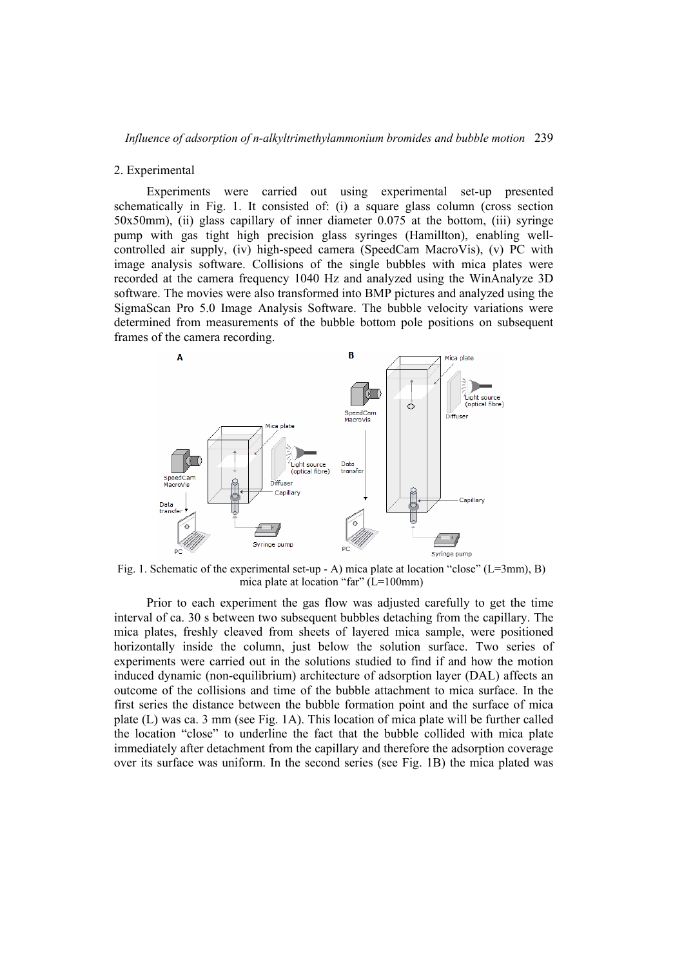### 2. Experimental

Experiments were carried out using experimental set-up presented schematically in Fig. 1. It consisted of: (i) a square glass column (cross section 50x50mm), (ii) glass capillary of inner diameter 0.075 at the bottom, (iii) syringe pump with gas tight high precision glass syringes (Hamillton), enabling wellcontrolled air supply, (iv) high-speed camera (SpeedCam MacroVis), (v) PC with image analysis software. Collisions of the single bubbles with mica plates were recorded at the camera frequency 1040 Hz and analyzed using the WinAnalyze 3D software. The movies were also transformed into BMP pictures and analyzed using the SigmaScan Pro 5.0 Image Analysis Software. The bubble velocity variations were determined from measurements of the bubble bottom pole positions on subsequent frames of the camera recording.



Fig. 1. Schematic of the experimental set-up - A) mica plate at location "close" ( $L=3mm$ ), B) mica plate at location "far" (L=100mm)

Prior to each experiment the gas flow was adjusted carefully to get the time interval of ca. 30 s between two subsequent bubbles detaching from the capillary. The mica plates, freshly cleaved from sheets of layered mica sample, were positioned horizontally inside the column, just below the solution surface. Two series of experiments were carried out in the solutions studied to find if and how the motion induced dynamic (non-equilibrium) architecture of adsorption layer (DAL) affects an outcome of the collisions and time of the bubble attachment to mica surface. In the first series the distance between the bubble formation point and the surface of mica plate (L) was ca. 3 mm (see Fig. 1A). This location of mica plate will be further called the location "close" to underline the fact that the bubble collided with mica plate immediately after detachment from the capillary and therefore the adsorption coverage over its surface was uniform. In the second series (see Fig. 1B) the mica plated was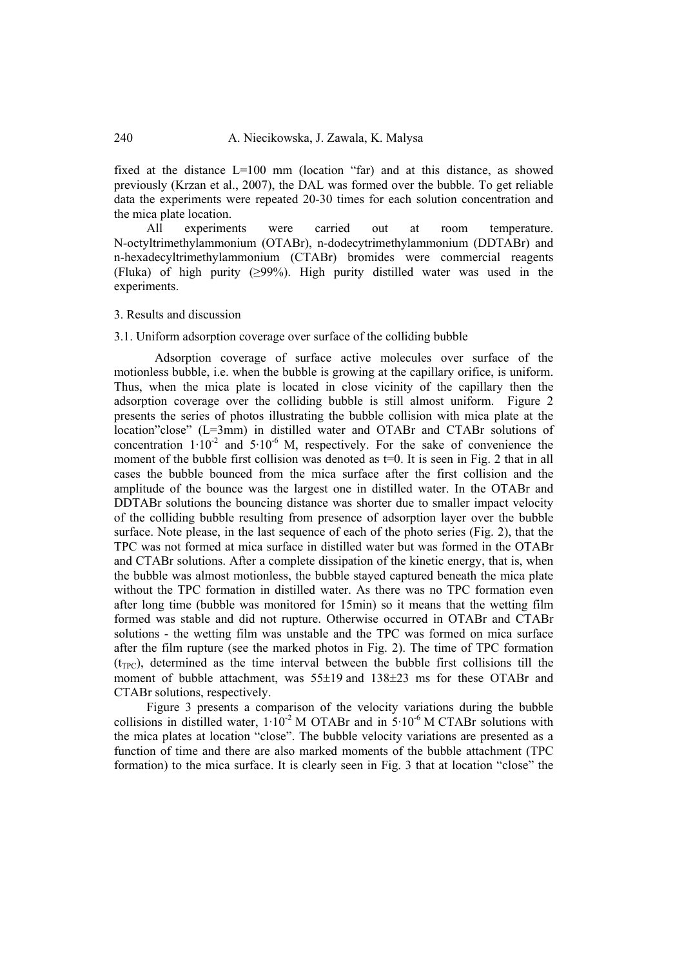fixed at the distance L=100 mm (location "far) and at this distance, as showed previously (Krzan et al., 2007), the DAL was formed over the bubble. To get reliable data the experiments were repeated 20-30 times for each solution concentration and the mica plate location.

All experiments were carried out at room temperature. N-octyltrimethylammonium (OTABr), n-dodecytrimethylammonium (DDTABr) and n-hexadecyltrimethylammonium (CTABr) bromides were commercial reagents (Fluka) of high purity (≥99%). High purity distilled water was used in the experiments.

## 3. Results and discussion

# 3.1. Uniform adsorption coverage over surface of the colliding bubble

Adsorption coverage of surface active molecules over surface of the motionless bubble, i.e. when the bubble is growing at the capillary orifice, is uniform. Thus, when the mica plate is located in close vicinity of the capillary then the adsorption coverage over the colliding bubble is still almost uniform. Figure 2 presents the series of photos illustrating the bubble collision with mica plate at the location"close" (L=3mm) in distilled water and OTABr and CTABr solutions of concentration  $1 \cdot 10^{-2}$  and  $5 \cdot 10^{-6}$  M, respectively. For the sake of convenience the moment of the bubble first collision was denoted as t=0. It is seen in Fig. 2 that in all cases the bubble bounced from the mica surface after the first collision and the amplitude of the bounce was the largest one in distilled water. In the OTABr and DDTABr solutions the bouncing distance was shorter due to smaller impact velocity of the colliding bubble resulting from presence of adsorption layer over the bubble surface. Note please, in the last sequence of each of the photo series (Fig. 2), that the TPC was not formed at mica surface in distilled water but was formed in the OTABr and CTABr solutions. After a complete dissipation of the kinetic energy, that is, when the bubble was almost motionless, the bubble stayed captured beneath the mica plate without the TPC formation in distilled water. As there was no TPC formation even after long time (bubble was monitored for 15min) so it means that the wetting film formed was stable and did not rupture. Otherwise occurred in OTABr and CTABr solutions - the wetting film was unstable and the TPC was formed on mica surface after the film rupture (see the marked photos in Fig. 2). The time of TPC formation  $(t_{TPC})$ , determined as the time interval between the bubble first collisions till the moment of bubble attachment, was 55±19 and 138±23 ms for these OTABr and CTABr solutions, respectively.

Figure 3 presents a comparison of the velocity variations during the bubble collisions in distilled water,  $1.10^{-2}$  M OTABr and in  $5.10^{-6}$  M CTABr solutions with the mica plates at location "close". The bubble velocity variations are presented as a function of time and there are also marked moments of the bubble attachment (TPC formation) to the mica surface. It is clearly seen in Fig. 3 that at location "close" the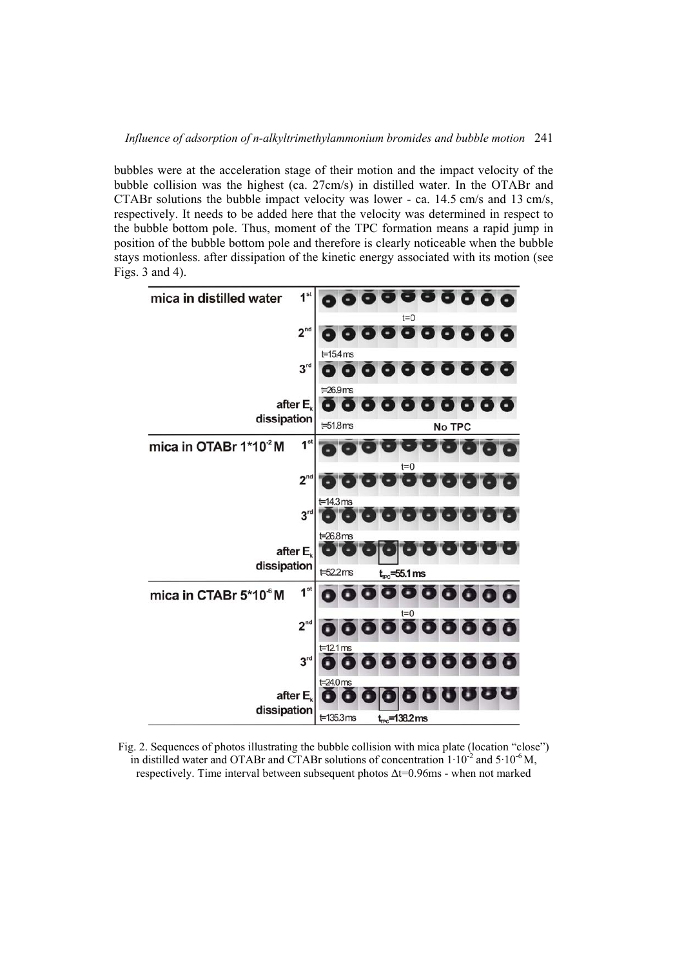bubbles were at the acceleration stage of their motion and the impact velocity of the bubble collision was the highest (ca. 27cm/s) in distilled water. In the OTABr and CTABr solutions the bubble impact velocity was lower - ca. 14.5 cm/s and 13 cm/s, respectively. It needs to be added here that the velocity was determined in respect to the bubble bottom pole. Thus, moment of the TPC formation means a rapid jump in position of the bubble bottom pole and therefore is clearly noticeable when the bubble stays motionless. after dissipation of the kinetic energy associated with its motion (see Figs. 3 and 4).



Fig. 2. Sequences of photos illustrating the bubble collision with mica plate (location "close") in distilled water and OTABr and CTABr solutions of concentration  $1 \cdot 10^{-2}$  and  $5 \cdot 10^{-6}$  M, respectively. Time interval between subsequent photos Δt=0.96ms - when not marked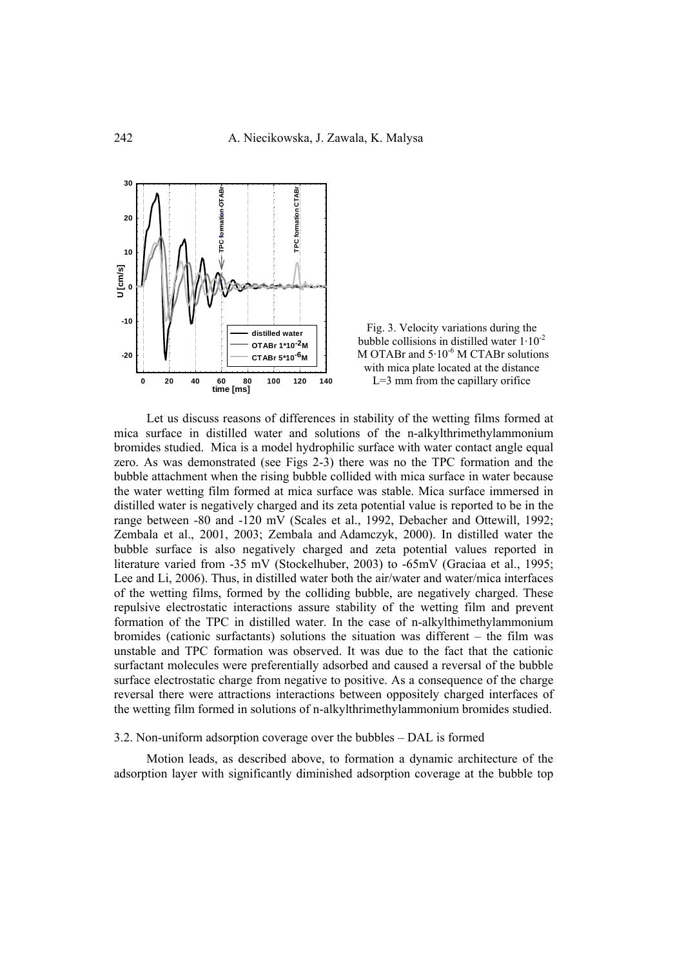

Fig. 3. Velocity variations during the bubble collisions in distilled water  $1.10^{-2}$ M OTABr and  $5.10^{-6}$  M CTABr solutions with mica plate located at the distance L=3 mm from the capillary orifice

Let us discuss reasons of differences in stability of the wetting films formed at mica surface in distilled water and solutions of the n-alkylthrimethylammonium bromides studied. Mica is a model hydrophilic surface with water contact angle equal zero. As was demonstrated (see Figs 2-3) there was no the TPC formation and the bubble attachment when the rising bubble collided with mica surface in water because the water wetting film formed at mica surface was stable. Mica surface immersed in distilled water is negatively charged and its zeta potential value is reported to be in the range between -80 and -120 mV (Scales et al., 1992, Debacher and Ottewill, 1992; Zembala et al., 2001, 2003; Zembala and Adamczyk, 2000). In distilled water the bubble surface is also negatively charged and zeta potential values reported in literature varied from -35 mV (Stockelhuber, 2003) to -65mV (Graciaa et al., 1995; Lee and Li, 2006). Thus, in distilled water both the air/water and water/mica interfaces of the wetting films, formed by the colliding bubble, are negatively charged. These repulsive electrostatic interactions assure stability of the wetting film and prevent formation of the TPC in distilled water. In the case of n-alkylthimethylammonium bromides (cationic surfactants) solutions the situation was different – the film was unstable and TPC formation was observed. It was due to the fact that the cationic surfactant molecules were preferentially adsorbed and caused a reversal of the bubble surface electrostatic charge from negative to positive. As a consequence of the charge reversal there were attractions interactions between oppositely charged interfaces of the wetting film formed in solutions of n-alkylthrimethylammonium bromides studied.

### 3.2. Non-uniform adsorption coverage over the bubbles – DAL is formed

Motion leads, as described above, to formation a dynamic architecture of the adsorption layer with significantly diminished adsorption coverage at the bubble top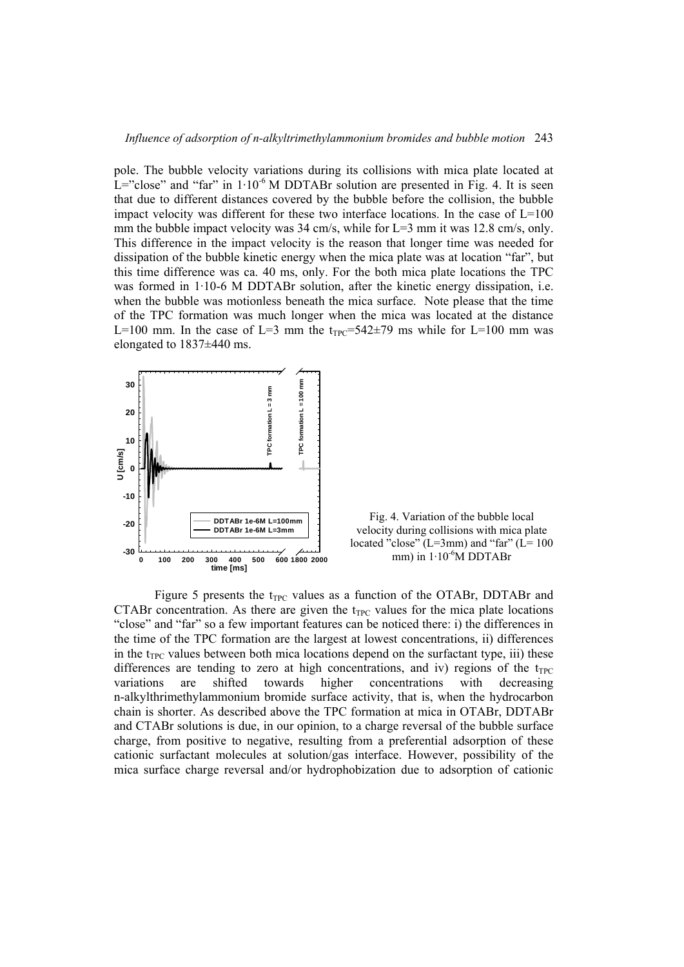pole. The bubble velocity variations during its collisions with mica plate located at L="close" and "far" in  $1 \cdot 10^{-6}$  M DDTABr solution are presented in Fig. 4. It is seen that due to different distances covered by the bubble before the collision, the bubble impact velocity was different for these two interface locations. In the case of  $L=100$ mm the bubble impact velocity was  $34 \text{ cm/s}$ , while for L=3 mm it was 12.8 cm/s, only. This difference in the impact velocity is the reason that longer time was needed for dissipation of the bubble kinetic energy when the mica plate was at location "far", but this time difference was ca. 40 ms, only. For the both mica plate locations the TPC was formed in 1.10-6 M DDTABr solution, after the kinetic energy dissipation, i.e. when the bubble was motionless beneath the mica surface. Note please that the time of the TPC formation was much longer when the mica was located at the distance L=100 mm. In the case of L=3 mm the  $t_{TPC}$ =542 $\pm$ 79 ms while for L=100 mm was elongated to 1837±440 ms.



Fig. 4. Variation of the bubble local velocity during collisions with mica plate located "close" ( $L=3$ mm) and "far" ( $L=100$ mm) in  $1.10^{6}$ M DDTABr

Figure 5 presents the  $t_{TPC}$  values as a function of the OTABr, DDTABr and CTABr concentration. As there are given the  $t_{TPC}$  values for the mica plate locations "close" and "far" so a few important features can be noticed there: i) the differences in the time of the TPC formation are the largest at lowest concentrations, ii) differences in the t<sub>TPC</sub> values between both mica locations depend on the surfactant type, iii) these differences are tending to zero at high concentrations, and iv) regions of the  $t_{TPC}$ variations are shifted towards higher concentrations with decreasing n-alkylthrimethylammonium bromide surface activity, that is, when the hydrocarbon chain is shorter. As described above the TPC formation at mica in OTABr, DDTABr and CTABr solutions is due, in our opinion, to a charge reversal of the bubble surface charge, from positive to negative, resulting from a preferential adsorption of these cationic surfactant molecules at solution/gas interface. However, possibility of the mica surface charge reversal and/or hydrophobization due to adsorption of cationic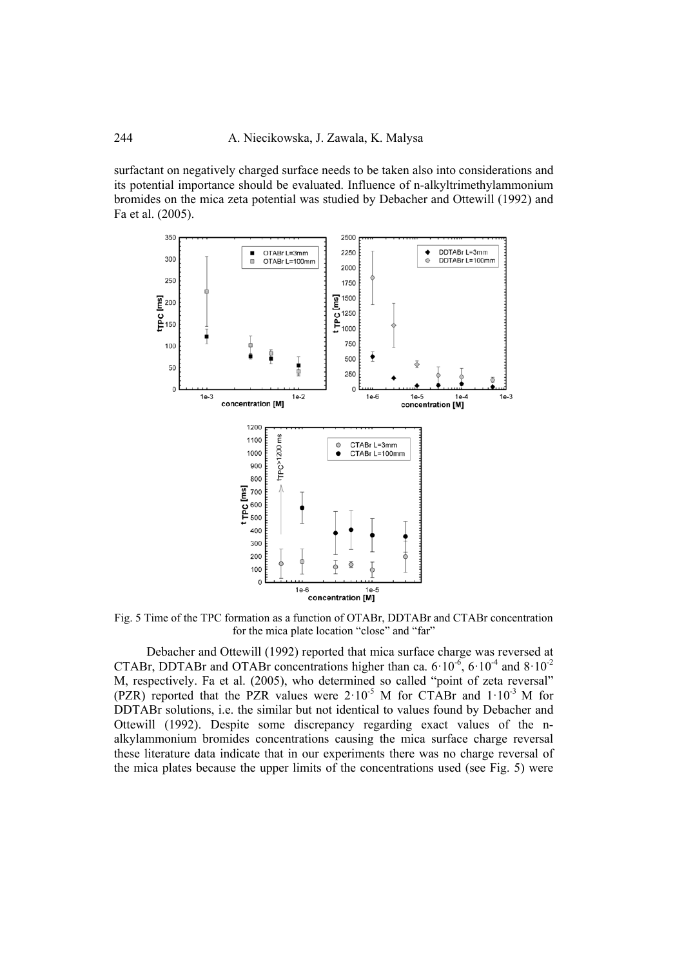surfactant on negatively charged surface needs to be taken also into considerations and its potential importance should be evaluated. Influence of n-alkyltrimethylammonium bromides on the mica zeta potential was studied by Debacher and Ottewill (1992) and Fa et al. (2005).



Fig. 5 Time of the TPC formation as a function of OTABr, DDTABr and CTABr concentration for the mica plate location "close" and "far"

Debacher and Ottewill (1992) reported that mica surface charge was reversed at CTABr, DDTABr and OTABr concentrations higher than ca.  $6 \cdot 10^{-6}$ ,  $6 \cdot 10^{-4}$  and  $8 \cdot 10^{-2}$ M, respectively. Fa et al. (2005), who determined so called "point of zeta reversal" (PZR) reported that the PZR values were  $2 \cdot 10^{-5}$  M for CTABr and  $1 \cdot 10^{-3}$  M for DDTABr solutions, i.e. the similar but not identical to values found by Debacher and Ottewill (1992). Despite some discrepancy regarding exact values of the nalkylammonium bromides concentrations causing the mica surface charge reversal these literature data indicate that in our experiments there was no charge reversal of the mica plates because the upper limits of the concentrations used (see Fig. 5) were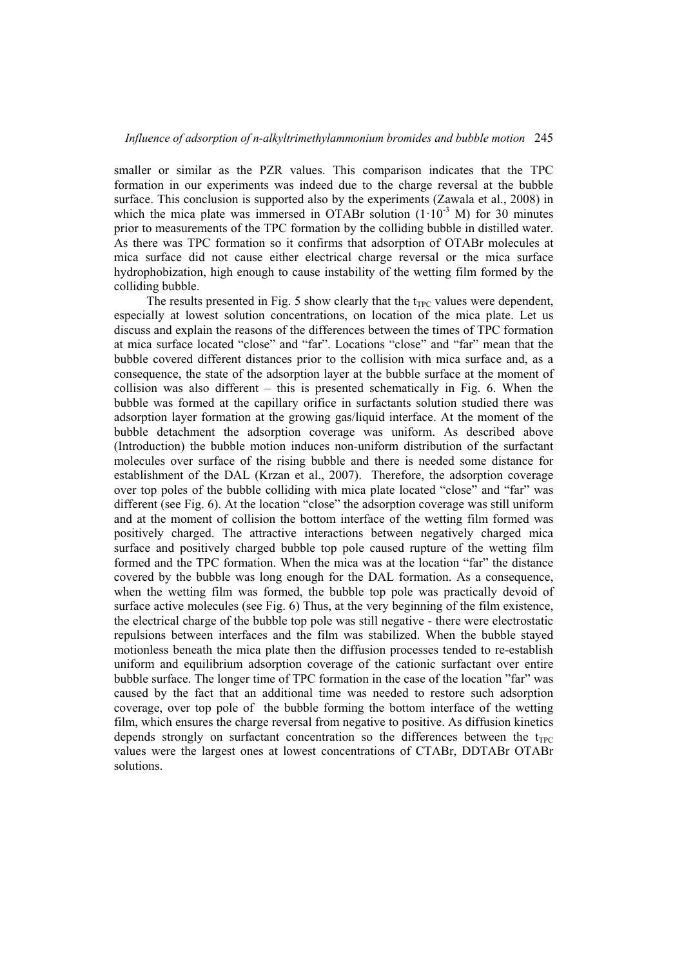smaller or similar as the PZR values. This comparison indicates that the TPC formation in our experiments was indeed due to the charge reversal at the bubble surface. This conclusion is supported also by the experiments (Zawala et al., 2008) in which the mica plate was immersed in OTABr solution  $(1 \cdot 10^{-3}$  M) for 30 minutes prior to measurements of the TPC formation by the colliding bubble in distilled water. As there was TPC formation so it confirms that adsorption of OTABr molecules at mica surface did not cause either electrical charge reversal or the mica surface hydrophobization, high enough to cause instability of the wetting film formed by the colliding bubble.

The results presented in Fig. 5 show clearly that the  $t_{TPC}$  values were dependent, especially at lowest solution concentrations, on location of the mica plate. Let us discuss and explain the reasons of the differences between the times of TPC formation at mica surface located "close" and "far". Locations "close" and "far" mean that the bubble covered different distances prior to the collision with mica surface and, as a consequence, the state of the adsorption layer at the bubble surface at the moment of collision was also different – this is presented schematically in Fig. 6. When the bubble was formed at the capillary orifice in surfactants solution studied there was adsorption layer formation at the growing gas/liquid interface. At the moment of the bubble detachment the adsorption coverage was uniform. As described above (Introduction) the bubble motion induces non-uniform distribution of the surfactant molecules over surface of the rising bubble and there is needed some distance for establishment of the DAL (Krzan et al., 2007). Therefore, the adsorption coverage over top poles of the bubble colliding with mica plate located "close" and "far" was different (see Fig. 6). At the location "close" the adsorption coverage was still uniform and at the moment of collision the bottom interface of the wetting film formed was positively charged. The attractive interactions between negatively charged mica surface and positively charged bubble top pole caused rupture of the wetting film formed and the TPC formation. When the mica was at the location "far" the distance covered by the bubble was long enough for the DAL formation. As a consequence, when the wetting film was formed, the bubble top pole was practically devoid of surface active molecules (see Fig. 6) Thus, at the very beginning of the film existence, the electrical charge of the bubble top pole was still negative - there were electrostatic repulsions between interfaces and the film was stabilized. When the bubble stayed motionless beneath the mica plate then the diffusion processes tended to re-establish uniform and equilibrium adsorption coverage of the cationic surfactant over entire bubble surface. The longer time of TPC formation in the case of the location "far" was caused by the fact that an additional time was needed to restore such adsorption coverage, over top pole of the bubble forming the bottom interface of the wetting film, which ensures the charge reversal from negative to positive. As diffusion kinetics depends strongly on surfactant concentration so the differences between the  $t_{TPC}$ values were the largest ones at lowest concentrations of CTABr, DDTABr OTABr solutions.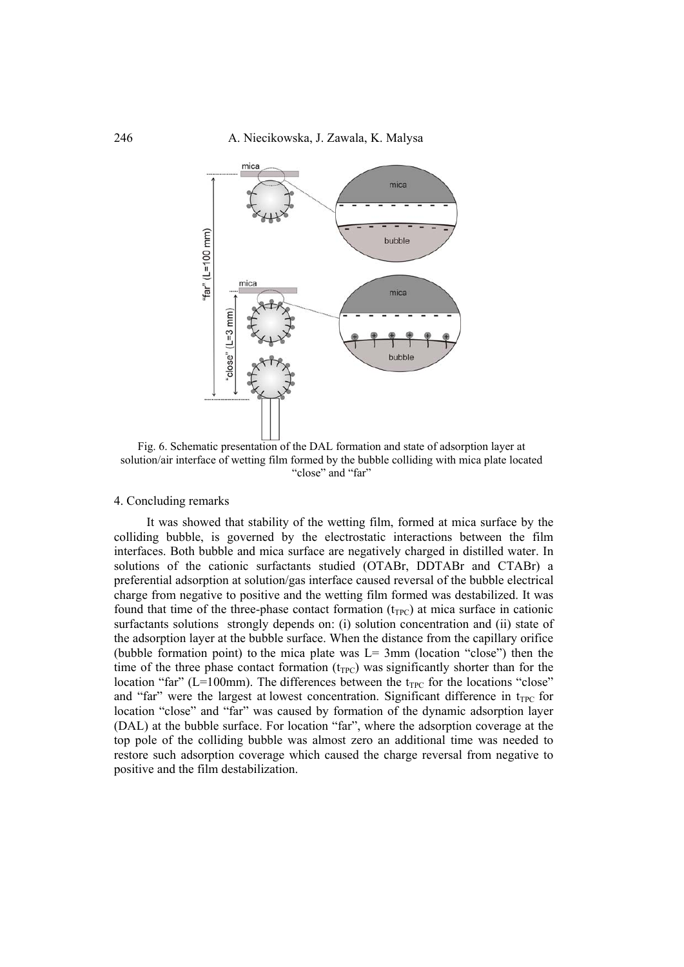

Fig. 6. Schematic presentation of the DAL formation and state of adsorption layer at solution/air interface of wetting film formed by the bubble colliding with mica plate located "close" and "far"

## 4. Concluding remarks

It was showed that stability of the wetting film, formed at mica surface by the colliding bubble, is governed by the electrostatic interactions between the film interfaces. Both bubble and mica surface are negatively charged in distilled water. In solutions of the cationic surfactants studied (OTABr, DDTABr and CTABr) a preferential adsorption at solution/gas interface caused reversal of the bubble electrical charge from negative to positive and the wetting film formed was destabilized. It was found that time of the three-phase contact formation  $(t_{TPC})$  at mica surface in cationic surfactants solutions strongly depends on: (i) solution concentration and (ii) state of the adsorption layer at the bubble surface. When the distance from the capillary orifice (bubble formation point) to the mica plate was  $L = 3$ mm (location "close") then the time of the three phase contact formation  $(t_{TPC})$  was significantly shorter than for the location "far" (L=100mm). The differences between the  $t_{TPC}$  for the locations "close" and "far" were the largest at lowest concentration. Significant difference in  $t_{TPC}$  for location "close" and "far" was caused by formation of the dynamic adsorption layer (DAL) at the bubble surface. For location "far", where the adsorption coverage at the top pole of the colliding bubble was almost zero an additional time was needed to restore such adsorption coverage which caused the charge reversal from negative to positive and the film destabilization.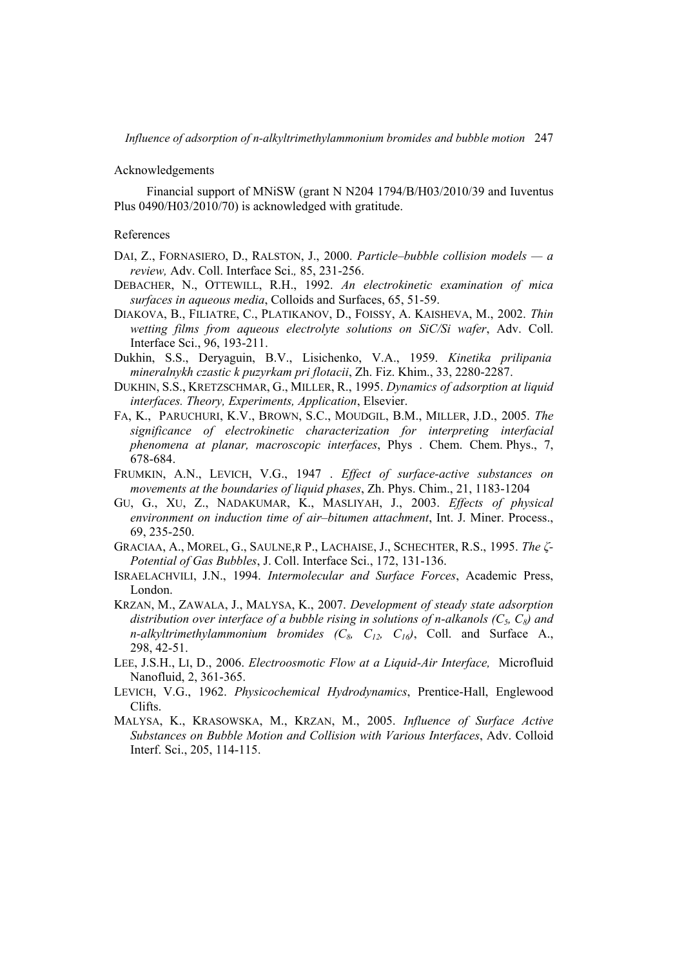### Acknowledgements

Financial support of MNiSW (grant N N204 1794/B/H03/2010/39 and Iuventus Plus 0490/H03/2010/70) is acknowledged with gratitude.

#### References

- DAI, Z., FORNASIERO, D., RALSTON, J., 2000. *Particle–bubble collision models a review,* Adv. Coll. Interface Sci.*,* 85, 231-256.
- DEBACHER, N., OTTEWILL, R.H., 1992. *An electrokinetic examination of mica surfaces in aqueous media*, Colloids and Surfaces, 65, 51-59.
- DIAKOVA, B., FILIATRE, C., PLATIKANOV, D., FOISSY, A. KAISHEVA, M., 2002. *Thin wetting films from aqueous electrolyte solutions on SiC/Si wafer*, Adv. Coll. Interface Sci., 96, 193-211.
- Dukhin, S.S., Deryaguin, B.V., Lisichenko, V.A., 1959. *Kinetika prilipania mineralnykh czastic k puzyrkam pri flotacii*, Zh. Fiz. Khim., 33, 2280-2287.
- DUKHIN, S.S., KRETZSCHMAR, G., MILLER, R., 1995. *Dynamics of adsorption at liquid interfaces. Theory, Experiments, Application*, Elsevier.
- FA, K., PARUCHURI, K.V., BROWN, S.C., MOUDGIL, B.M., MILLER, J.D., 2005. *The significance of electrokinetic characterization for interpreting interfacial phenomena at planar, macroscopic interfaces*, Phys . Chem. Chem. Phys., 7, 678-684.
- FRUMKIN, A.N., LEVICH, V.G., 1947 . *Effect of surface-active substances on movements at the boundaries of liquid phases*, Zh. Phys. Chim., 21, 1183-1204
- GU, G., XU, Z., NADAKUMAR, K., MASLIYAH, J., 2003. *Effects of physical environment on induction time of air–bitumen attachment*, Int. J. Miner. Process., 69, 235-250.
- GRACIAA, A., MOREL, G., SAULNE,R P., LACHAISE, J., SCHECHTER, R.S., 1995. *The ζ-Potential of Gas Bubbles*, J. Coll. Interface Sci., 172, 131-136.
- ISRAELACHVILI, J.N., 1994. *Intermolecular and Surface Forces*, Academic Press, London.
- KRZAN, M., ZAWALA, J., MALYSA, K., 2007. *Development of steady state adsorption*  distribution over interface of a bubble rising in solutions of n-alkanols (C<sub>5</sub>, C<sub>8</sub>) and *n-alkyltrimethylammonium bromides*  $(C_8, C_{12}, C_{16})$ , Coll. and Surface A., 298, 42-51.
- LEE, J.S.H., LI, D., 2006. *Electroosmotic Flow at a Liquid-Air Interface,* Microfluid Nanofluid, 2, 361-365.
- LEVICH, V.G., 1962. *Physicochemical Hydrodynamics*, Prentice-Hall, Englewood Clifts.
- MALYSA, K., KRASOWSKA, M., KRZAN, M., 2005. *Influence of Surface Active Substances on Bubble Motion and Collision with Various Interfaces*, Adv. Colloid Interf. Sci., 205, 114-115.